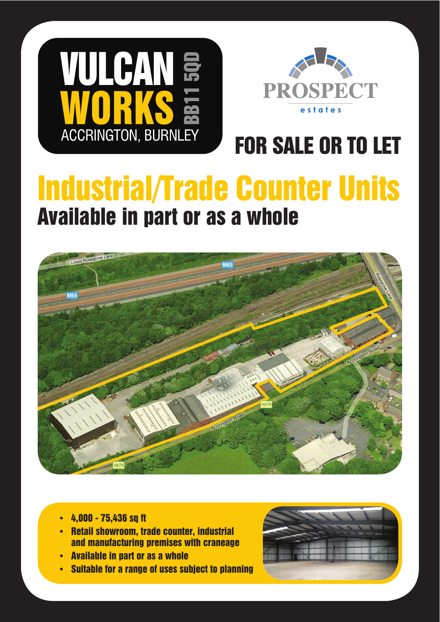



# **FOR SALE OR TO LET**

# **Industrial/Trade Counter Units Available in part or as a whole**



- 4,000 75,436 sq ft
- Retail showroom, trade counter, industrial and manufacturing premises with craneage
- **Available in part or as a whole**
- **Suitable for a range of uses subject to planning**